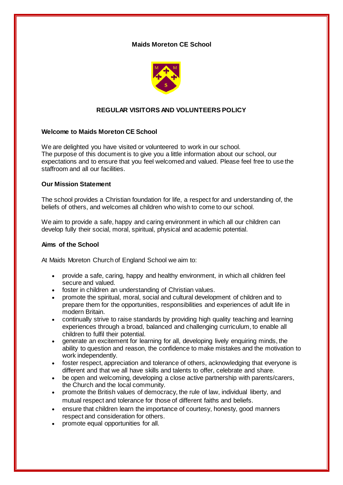## **Maids Moreton CE School**



# **REGULAR VISITORS AND VOLUNTEERS POLICY**

### **Welcome to Maids Moreton CE School**

We are delighted you have visited or volunteered to work in our school. The purpose of this document is to give you a little information about our school, our expectations and to ensure that you feel welcomed and valued. Please feel free to use the staffroom and all our facilities.

### **Our Mission Statement**

The school provides a Christian foundation for life, a respect for and understanding of, the beliefs of others, and welcomes all children who wish to come to our school.

We aim to provide a safe, happy and caring environment in which all our children can develop fully their social, moral, spiritual, physical and academic potential.

#### **Aims of the School**

At Maids Moreton Church of England School we aim to:

- provide a safe, caring, happy and healthy environment, in which all children feel secure and valued.
- foster in children an understanding of Christian values.
- promote the spiritual, moral, social and cultural development of children and to prepare them for the opportunities, responsibilities and experiences of adult life in modern Britain.
- continually strive to raise standards by providing high quality teaching and learning experiences through a broad, balanced and challenging curriculum, to enable all children to fulfil their potential.
- generate an excitement for learning for all, developing lively enquiring minds, the ability to question and reason, the confidence to make mistakes and the motivation to work independently.
- foster respect, appreciation and tolerance of others, acknowledging that everyone is different and that we all have skills and talents to offer, celebrate and share.
- be open and welcoming, developing a close active partnership with parents/carers, the Church and the local community.
- promote the British values of democracy, the rule of law, individual liberty, and mutual respect and tolerance for those of different faiths and beliefs.
- ensure that children learn the importance of courtesy, honesty, good manners respect and consideration for others.
- promote equal opportunities for all.